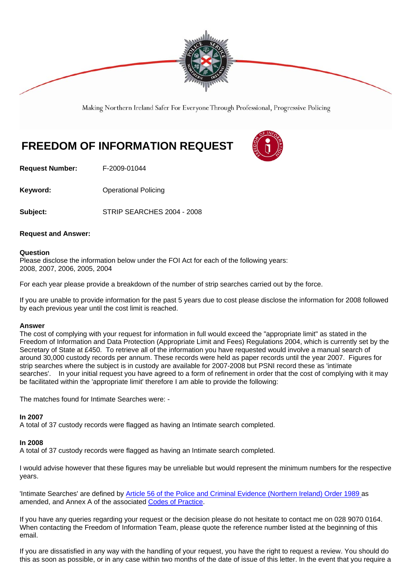

Making Northern Ireland Safer For Everyone Through Professional, Progressive Policing

# **FREEDOM OF INFORMATION REQUEST**

**Request Number:** F-2009-01044

**Keyword: Conservery Operational Policing** 

**Subject:** STRIP SEARCHES 2004 - 2008

# **Request and Answer:**

# **Question**

Please disclose the information below under the FOI Act for each of the following years: 2008, 2007, 2006, 2005, 2004

For each year please provide a breakdown of the number of strip searches carried out by the force.

If you are unable to provide information for the past 5 years due to cost please disclose the information for 2008 followed by each previous year until the cost limit is reached.

### **Answer**

The cost of complying with your request for information in full would exceed the "appropriate limit" as stated in the Freedom of Information and Data Protection (Appropriate Limit and Fees) Regulations 2004, which is currently set by the Secretary of State at £450. To retrieve all of the information you have requested would involve a manual search of around 30,000 custody records per annum. These records were held as paper records until the year 2007. Figures for strip searches where the subject is in custody are available for 2007-2008 but PSNI record these as 'intimate searches'. In your initial request you have agreed to a form of refinement in order that the cost of complying with it may be facilitated within the 'appropriate limit' therefore I am able to provide the following:

The matches found for Intimate Searches were: -

# **In 2007**

A total of 37 custody records were flagged as having an Intimate search completed.

# **In 2008**

A total of 37 custody records were flagged as having an Intimate search completed.

I would advise however that these figures may be unreliable but would represent the minimum numbers for the respective years.

'Intimate Searches' are defined by Article 56 of the Police and Criminal Evidence (Northern Ireland) Order 1989 as amended, and Annex A of the associated Codes of Practice.

If you have any queries regarding your request or the decision please do not hesitate to contact me on 028 9070 0164. When contacting the Freedom of Information Team, please quote the reference number listed at the beginning of this email.

If you are dissatisfied in any way with the handling of your request, you have the right to request a review. You should do this as soon as possible, or in any case within two months of the date of issue of this letter. In the event that you require a